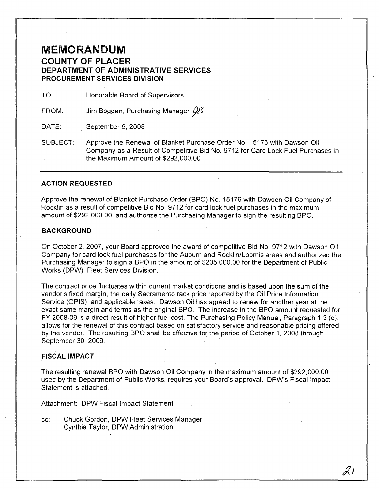## **MEMORANDUM COUNTY OF PLACER DEPARTMENT OF ADMINISTRATIVE SERVICES PROCUREMENT SERVICES DIVISION'**

TO: Honorable Board of Supervisors

FROM: Jim Boggan, Purchasing Manager  $\mathcal{Q}_{\mathcal{L}}$ 

DATE: September 9,2008

SUBJECT: Approve the Renewal of Blanket Purchase Order No. 15176 with Dawson Oil Company as a Result of Competitive Bid No. 9712 for Card Lock Fuel Purchases in the Maximum Amount of \$292,000.00

#### **ACTION REQUESTED**

Approve the renewal of Blanket Purchase Order (BPO) No. 15176 with Dawson Oil Company of Rocklin as a result of competitive Bid No. 9712 for card lock fuel purchases in the maximum amount of \$292,000.00, and authorize the Purchasing Manager to sign the resulting BPO.

#### **BACKGROUND**

On October 2,2007, your Board approved the award of competitive Bid No. 9712 with Dawson Oil Company for card lock fuel purchases for the Auburn and Rocklin/Loomis areas and authorized the Purchasing Manager to sign a BPO in the amount of \$205,000.00 for the Department of Public Works (DPW), Fleet Services Division.

The contract price fluctuates within current market conditions and is based upon the sum of the vendor's fixed margin, the daily Sacramento rack price reported by the Oil Price Information Service (OPIS), and applicable taxes. Dawson Oil has agreed to renew for another year at the exact same margin and terms as the original BPO. The increase in the BPO amount requested for FY 2008-09 is a direct result of higher fuel cost. The Purchasing Policy Manual, Paragraph 1.3 (0), allows for the renewal of this contract based on satisfactory service and reasonable pricing offered by the vendor. The resulting BPO shall be effective for the period of October 1, 2008 through September 30, 2009.

#### **FISCAL IMPACT**

The resulting renewal BPO with Dawson Oil Company in the maximum amount of \$292,000.00, used by the Department of Public Works, requires your Board's approval. DPW's Fiscal Impact Statement is attached.

Attachment: DPW Fiscal Impact Statement

cc: Chuck Gordon, DPW Fleet Services Manager Cynthia Taylor, DPW Administration